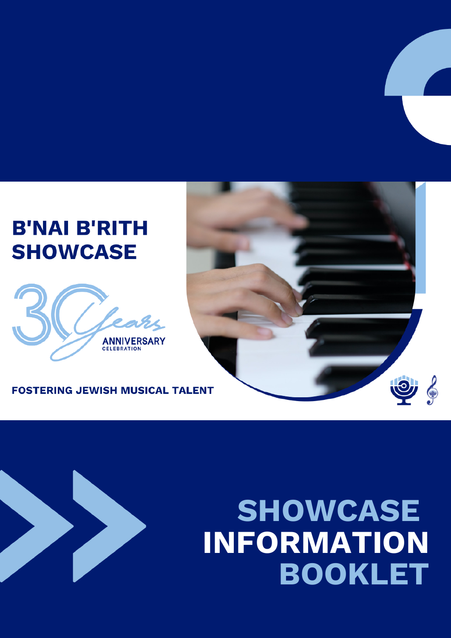### **B'NAI B'RITH SHOWCASE**



#### **FOSTERING JEWISH MUSICAL TALENT**

## **SHOWCASE INFORMATION BOOKLET**

 $\bullet$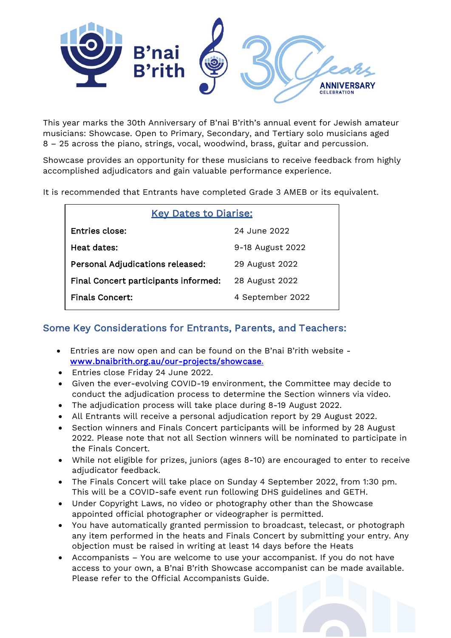

This year marks the 30th Anniversary of B'nai B'rith's annual event for Jewish amateur musicians: Showcase. Open to Primary, Secondary, and Tertiary solo musicians aged 8 – 25 across the piano, strings, vocal, woodwind, brass, guitar and percussion.

Showcase provides an opportunity for these musicians to receive feedback from highly accomplished adjudicators and gain valuable performance experience.

It is recommended that Entrants have completed Grade 3 AMEB or its equivalent.

| <b>Key Dates to Diarise:</b>         |                  |  |
|--------------------------------------|------------------|--|
| Entries close:                       | 24 June 2022     |  |
| Heat dates:                          | 9-18 August 2022 |  |
| Personal Adjudications released:     | 29 August 2022   |  |
| Final Concert participants informed: | 28 August 2022   |  |
| <b>Finals Concert:</b>               | 4 September 2022 |  |

#### Some Key Considerations for Entrants, Parents, and Teachers:

- Entries are now open and can be found on the B'nai B'rith website [www.bnaibrith.org.au/our-projects/showcase.](https://www.bnaibrith.org.au/our-projects/showcase)
- Entries close Friday 24 June 2022.
- Given the ever-evolving COVID-19 environment, the Committee may decide to conduct the adjudication process to determine the Section winners via video.
- The adjudication process will take place during 8-19 August 2022.
- All Entrants will receive a personal adjudication report by 29 August 2022.
- Section winners and Finals Concert participants will be informed by 28 August 2022. Please note that not all Section winners will be nominated to participate in the Finals Concert.
- While not eligible for prizes, juniors (ages 8-10) are encouraged to enter to receive adjudicator feedback.
- The Finals Concert will take place on Sunday 4 September 2022, from 1:30 pm. This will be a COVID-safe event run following DHS guidelines and GETH.
- Under Copyright Laws, no video or photography other than the Showcase appointed official photographer or videographer is permitted.
- You have automatically granted permission to broadcast, telecast, or photograph any item performed in the heats and Finals Concert by submitting your entry. Any objection must be raised in writing at least 14 days before the Heats
- Accompanists You are welcome to use your accompanist. If you do not have access to your own, a B'nai B'rith Showcase accompanist can be made available. Please refer to the Official Accompanists Guide.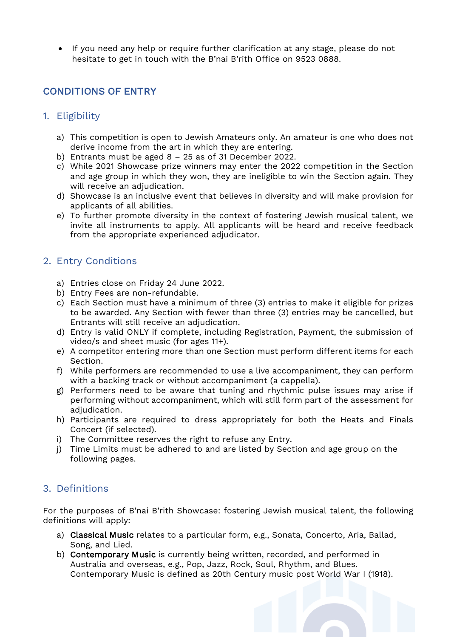• If you need any help or require further clarification at any stage, please do not hesitate to get in touch with the B'nai B'rith Office on 9523 0888.

#### CONDITIONS OF ENTRY

#### 1. Eligibility

- a) This competition is open to Jewish Amateurs only. An amateur is one who does not derive income from the art in which they are entering.
- b) Entrants must be aged 8 25 as of 31 December 2022.
- c) While 2021 Showcase prize winners may enter the 2022 competition in the Section and age group in which they won, they are ineligible to win the Section again. They will receive an adjudication.
- d) Showcase is an inclusive event that believes in diversity and will make provision for applicants of all abilities.
- e) To further promote diversity in the context of fostering Jewish musical talent, we invite all instruments to apply. All applicants will be heard and receive feedback from the appropriate experienced adjudicator.

#### 2. Entry Conditions

- a) Entries close on Friday 24 June 2022.
- b) Entry Fees are non-refundable.
- c) Each Section must have a minimum of three (3) entries to make it eligible for prizes to be awarded. Any Section with fewer than three (3) entries may be cancelled, but Entrants will still receive an adjudication.
- d) Entry is valid ONLY if complete, including Registration, Payment, the submission of video/s and sheet music (for ages 11+).
- e) A competitor entering more than one Section must perform different items for each Section.
- f) While performers are recommended to use a live accompaniment, they can perform with a backing track or without accompaniment (a cappella).
- g) Performers need to be aware that tuning and rhythmic pulse issues may arise if performing without accompaniment, which will still form part of the assessment for adjudication.
- h) Participants are required to dress appropriately for both the Heats and Finals Concert (if selected).
- i) The Committee reserves the right to refuse any Entry.
- j) Time Limits must be adhered to and are listed by Section and age group on the following pages.

#### 3. Definitions

For the purposes of B'nai B'rith Showcase: fostering Jewish musical talent, the following definitions will apply:

- a) Classical Music relates to a particular form, e.g., Sonata, Concerto, Aria, Ballad, Song, and Lied.
- b) Contemporary Music is currently being written, recorded, and performed in Australia and overseas, e.g., Pop, Jazz, Rock, Soul, Rhythm, and Blues. Contemporary Music is defined as 20th Century music post World War I (1918).

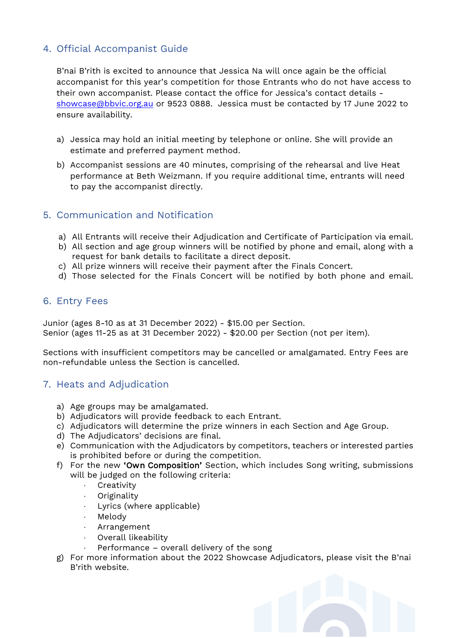#### 4. Official Accompanist Guide

B'nai B'rith is excited to announce that Jessica Na will once again be the official accompanist for this year's competition for those Entrants who do not have access to their own accompanist. Please contact the office for Jessica's contact details [showcase@bbvic.org.au](mailto:showcase@bbvic.org.au) or 9523 0888. Jessica must be contacted by 17 June 2022 to ensure availability.

- a) Jessica may hold an initial meeting by telephone or online. She will provide an estimate and preferred payment method.
- b) Accompanist sessions are 40 minutes, comprising of the rehearsal and live Heat performance at Beth Weizmann. If you require additional time, entrants will need to pay the accompanist directly.

#### 5. Communication and Notification

- a) All Entrants will receive their Adjudication and Certificate of Participation via email.
- b) All section and age group winners will be notified by phone and email, along with a request for bank details to facilitate a direct deposit.
- c) All prize winners will receive their payment after the Finals Concert.
- d) Those selected for the Finals Concert will be notified by both phone and email.

#### 6. Entry Fees

Junior (ages 8-10 as at 31 December 2022) - \$15.00 per Section. Senior (ages 11-25 as at 31 December 2022) - \$20.00 per Section (not per item).

Sections with insufficient competitors may be cancelled or amalgamated. Entry Fees are non-refundable unless the Section is cancelled.

#### 7. Heats and Adjudication

- a) Age groups may be amalgamated.
- b) Adjudicators will provide feedback to each Entrant.
- c) Adjudicators will determine the prize winners in each Section and Age Group.
- d) The Adjudicators' decisions are final.
- e) Communication with the Adjudicators by competitors, teachers or interested parties is prohibited before or during the competition.
- f) For the new 'Own Composition' Section, which includes Song writing, submissions will be judged on the following criteria:
	- **Creativity**
	- ⋅ Originality
	- Lyrics (where applicable)
	- Melody
	- ⋅ Arrangement
	- Overall likeability
	- Performance overall delivery of the song
- g) For more information about the 2022 Showcase Adjudicators, please visit the B'nai B'rith website.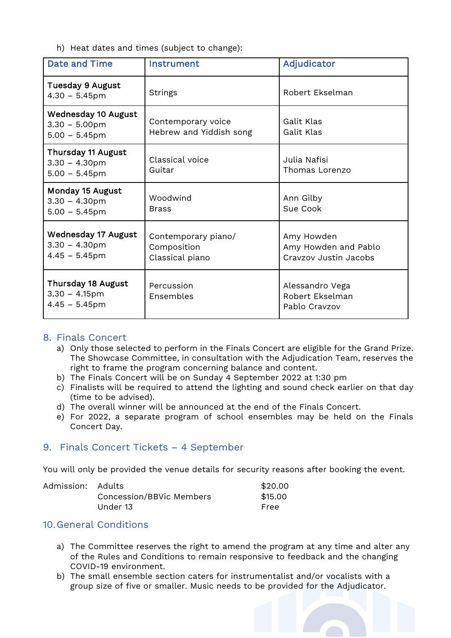h) Heat dates and times (subject to change):

| <b>Date and Time</b>                                               | Instrument                                            | Adjudicator                                                 |
|--------------------------------------------------------------------|-------------------------------------------------------|-------------------------------------------------------------|
| <b>Tuesday 9 August</b><br>$4.30 - 5.45$ pm                        | <b>Strings</b>                                        | Robert Ekselman                                             |
| <b>Wednesday 10 August</b><br>$3.30 - 5.00$ pm<br>$5.00 - 5.45$ pm | Contemporary voice<br>Hebrew and Yiddish song         | Galit Klas<br>Galit Klas                                    |
| Thursday 11 August<br>$3.30 - 4.30$ pm<br>$5.00 - 5.45$ pm         | Classical voice<br>Guitar                             | Julia Nafisi<br>Thomas Lorenzo                              |
| Monday 15 August<br>$3.30 - 4.30$ pm<br>$5.00 - 5.45$ pm           | Woodwind<br><b>Brass</b>                              | Ann Gilby<br>Sue Cook                                       |
| <b>Wednesday 17 August</b><br>$3.30 - 4.30$ pm<br>$4.45 - 5.45$ pm | Contemporary piano/<br>Composition<br>Classical piano | Amy Howden<br>Amy Howden and Pablo<br>Cravzov Justin Jacobs |
| <b>Thursday 18 August</b><br>$3.30 - 4.15$ pm<br>$4.45 - 5.45$ pm  | Percussion<br>Ensembles                               | Alessandro Vega<br>Robert Ekselman<br>Pablo Cravzov         |

#### 8. Finals Concert

- a) Only those selected to perform in the Finals Concert are eligible for the Grand Prize. The Showcase Committee, in consultation with the Adjudication Team, reserves the right to frame the program concerning balance and content.
- b) The Finals Concert will be on Sunday 4 September 2022 at 1:30 pm
- c) Finalists will be required to attend the lighting and sound check earlier on that day (time to be advised).
- d) The overall winner will be announced at the end of the Finals Concert.
- e) For 2022, a separate program of school ensembles may be held on the Finals Concert Day.

#### 9. Finals Concert Tickets – 4 September

You will only be provided the venue details for security reasons after booking the event.

| Admission: Adults |                          | \$20.00 |
|-------------------|--------------------------|---------|
|                   | Concession/BBVic Members | \$15.00 |
|                   | Under 13                 | Free    |

#### 10.General Conditions

- a) The Committee reserves the right to amend the program at any time and alter any of the Rules and Conditions to remain responsive to feedback and the changing COVID-19 environment.
- b) The small ensemble section caters for instrumentalist and/or vocalists with a group size of five or smaller. Music needs to be provided for the Adjudicator.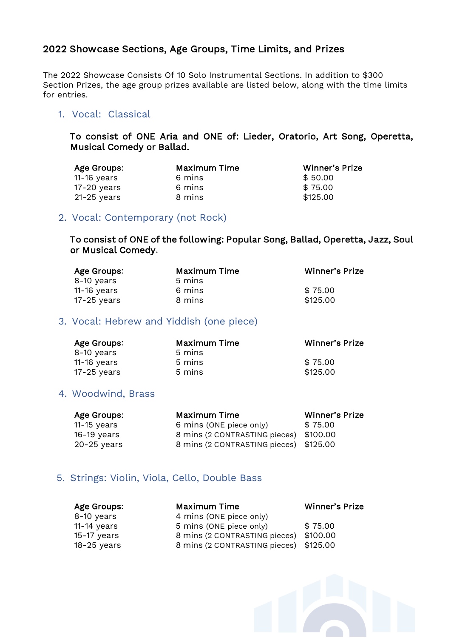#### 2022 Showcase Sections, Age Groups, Time Limits, and Prizes

The 2022 Showcase Consists Of 10 Solo Instrumental Sections. In addition to \$300 Section Prizes, the age group prizes available are listed below, along with the time limits for entries.

#### 1. Vocal: Classical

To consist of ONE Aria and ONE of: Lieder, Oratorio, Art Song, Operetta, Musical Comedy or Ballad.

| Age Groups:   | <b>Maximum Time</b> | <b>Winner's Prize</b> |
|---------------|---------------------|-----------------------|
| $11-16$ years | 6 mins              | \$50.00               |
| $17-20$ years | 6 mins              | \$75.00               |
| $21-25$ years | 8 mins              | \$125.00              |

#### 2. Vocal: Contemporary (not Rock)

To consist of ONE of the following: Popular Song, Ballad, Operetta, Jazz, Soul or Musical Comedy.

| Age Groups:   | <b>Maximum Time</b> | <b>Winner's Prize</b> |
|---------------|---------------------|-----------------------|
| 8-10 years    | 5 mins              |                       |
| $11-16$ years | 6 mins              | \$75.00               |
| $17-25$ years | 8 mins              | \$125.00              |

#### 3. Vocal: Hebrew and Yiddish (one piece)

| Age Groups:   | <b>Maximum Time</b> | Winner's Prize |
|---------------|---------------------|----------------|
| 8-10 years    | 5 mins              |                |
| $11-16$ years | 5 mins              | \$75.00        |
| 17-25 years   | 5 mins              | \$125.00       |

#### 4. Woodwind, Brass

| Age Groups:   | Maximum Time                           | <b>Winner's Prize</b> |
|---------------|----------------------------------------|-----------------------|
| $11-15$ years | 6 mins (ONE piece only)                | \$75.00               |
| $16-19$ years | 8 mins (2 CONTRASTING pieces) \$100.00 |                       |
| 20-25 years   | 8 mins (2 CONTRASTING pieces) \$125.00 |                       |

#### 5. Strings: Violin, Viola, Cello, Double Bass

| Age Groups:   | Maximum Time                           | <b>Winner's Prize</b> |
|---------------|----------------------------------------|-----------------------|
| 8-10 years    | 4 mins (ONE piece only)                |                       |
| $11-14$ years | 5 mins (ONE piece only)                | \$75.00               |
| 15-17 years   | 8 mins (2 CONTRASTING pieces) \$100.00 |                       |
| 18-25 years   | 8 mins (2 CONTRASTING pieces) \$125.00 |                       |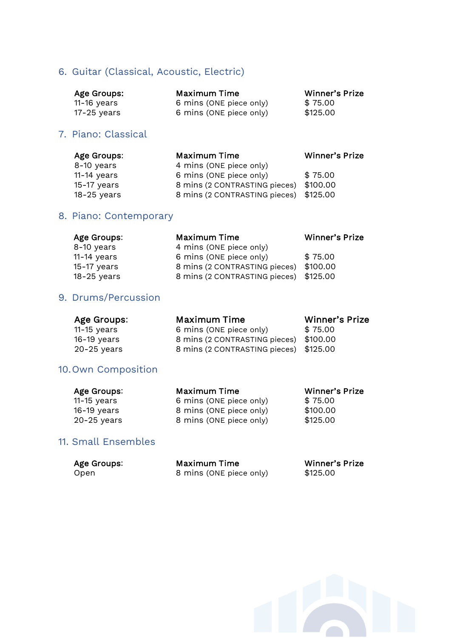#### 6. Guitar (Classical, Acoustic, Electric)

| Age Groups: | Maximum Time            | Winner's Prize |
|-------------|-------------------------|----------------|
| 11-16 years | 6 mins (ONE piece only) | \$75.00        |
| 17-25 years | 6 mins (ONE piece only) | \$125.00       |

#### 7. Piano: Classical

| Age Groups:   | <b>Maximum Time</b>                    | <b>Winner's Prize</b> |
|---------------|----------------------------------------|-----------------------|
| 8-10 years    | 4 mins (ONE piece only)                |                       |
| $11-14$ years | 6 mins (ONE piece only)                | \$75.00               |
| 15-17 years   | 8 mins (2 CONTRASTING pieces) \$100.00 |                       |
| $18-25$ years | 8 mins (2 CONTRASTING pieces) \$125.00 |                       |

#### 8. Piano: Contemporary

| Age Groups:   | Maximum Time                           | Winner's Prize |
|---------------|----------------------------------------|----------------|
| 8-10 years    | 4 mins (ONE piece only)                |                |
| $11-14$ years | 6 mins (ONE piece only)                | \$75.00        |
| 15-17 years   | 8 mins (2 CONTRASTING pieces) \$100.00 |                |
| $18-25$ years | 8 mins (2 CONTRASTING pieces) \$125.00 |                |

#### 9. Drums/Percussion

| Age Groups:   | Maximum Time                           | Winner's Prize |
|---------------|----------------------------------------|----------------|
| $11-15$ years | 6 mins (ONE piece only)                | \$75.00        |
| $16-19$ years | 8 mins (2 CONTRASTING pieces) \$100.00 |                |
| $20-25$ years | 8 mins (2 CONTRASTING pieces) \$125.00 |                |
|               |                                        |                |

#### 10.Own Composition

| Age Groups:   | Maximum Time            | <b>Winner's Prize</b> |
|---------------|-------------------------|-----------------------|
| $11-15$ years | 6 mins (ONE piece only) | \$75.00               |
| $16-19$ years | 8 mins (ONE piece only) | \$100.00              |
| $20-25$ years | 8 mins (ONE piece only) | \$125.00              |

#### 11. Small Ensembles

| Age Groups: | Maximum Time            | Winner's Prize |
|-------------|-------------------------|----------------|
| Open        | 8 mins (ONE piece only) | \$125.00       |

f